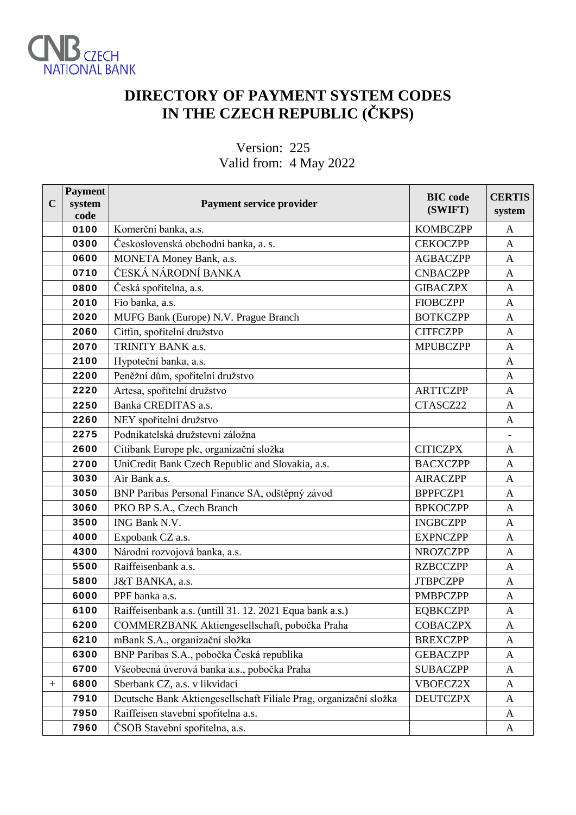

## **DIRECTORY OF PAYMENT SYSTEM CODES IN THE CZECH REPUBLIC (ČKPS)**

#### Version: 225 Valid from: 4 May 2022

| $\mathbf C$ | <b>Payment</b><br>system<br>code | Payment service provider                                          | <b>BIC</b> code<br>(SWIFT) | <b>CERTIS</b><br>system |
|-------------|----------------------------------|-------------------------------------------------------------------|----------------------------|-------------------------|
|             | 0100                             | Komerční banka, a.s.                                              | <b>KOMBCZPP</b>            | A                       |
|             | 0300                             | Československá obchodní banka, a. s.                              | <b>CEKOCZPP</b>            | A                       |
|             | 0600                             | MONETA Money Bank, a.s.                                           | <b>AGBACZPP</b>            | A                       |
|             | 0710                             | ČESKÁ NÁRODNÍ BANKA                                               | <b>CNBACZPP</b>            | A                       |
|             | 0800                             | Česká spořitelna, a.s.                                            | <b>GIBACZPX</b>            | $\mathbf{A}$            |
|             | 2010                             | Fio banka, a.s.                                                   | <b>FIOBCZPP</b>            | A                       |
|             | 2020                             | MUFG Bank (Europe) N.V. Prague Branch                             | <b>BOTKCZPP</b>            | $\mathbf{A}$            |
|             | 2060                             | Citfin, spořitelní družstvo                                       | <b>CITFCZPP</b>            | A                       |
|             | 2070                             | TRINITY BANK a.s.                                                 | <b>MPUBCZPP</b>            | $\mathbf{A}$            |
|             | 2100                             | Hypoteční banka, a.s.                                             |                            | $\mathbf{A}$            |
|             | 2200                             | Peněžní dům, spořitelní družstvo                                  |                            | $\mathbf{A}$            |
|             | 2220                             | Artesa, spořitelní družstvo                                       | <b>ARTTCZPP</b>            | $\mathbf{A}$            |
|             | 2250                             | Banka CREDITAS a.s.                                               | CTASCZ22                   | $\mathbf{A}$            |
|             | 2260                             | NEY spořitelní družstvo                                           |                            | $\mathbf{A}$            |
|             | 2275                             | Podnikatelská družstevní záložna                                  |                            |                         |
|             | 2600                             | Citibank Europe plc, organizační složka                           | <b>CITICZPX</b>            | A                       |
|             | 2700                             | UniCredit Bank Czech Republic and Slovakia, a.s.                  | <b>BACXCZPP</b>            | $\mathbf{A}$            |
|             | 3030                             | Air Bank a.s.                                                     | <b>AIRACZPP</b>            | $\overline{A}$          |
|             | 3050                             | BNP Paribas Personal Finance SA, odštěpný závod                   | <b>BPPFCZP1</b>            | A                       |
|             | 3060                             | PKO BP S.A., Czech Branch                                         | <b>BPKOCZPP</b>            | $\mathbf{A}$            |
|             | 3500                             | ING Bank N.V.                                                     | <b>INGBCZPP</b>            | $\mathbf{A}$            |
|             | 4000                             | Expobank CZ a.s.                                                  | <b>EXPNCZPP</b>            | A                       |
|             | 4300                             | Národní rozvojová banka, a.s.                                     | <b>NROZCZPP</b>            | A                       |
|             | 5500                             | Raiffeisenbank a.s.                                               | <b>RZBCCZPP</b>            | $\mathbf{A}$            |
|             | 5800                             | J&T BANKA, a.s.                                                   | <b>JTBPCZPP</b>            | $\mathbf{A}$            |
|             | 6000                             | PPF banka a.s.                                                    | <b>PMBPCZPP</b>            | A                       |
|             | 6100                             | Raiffeisenbank a.s. (untill 31. 12. 2021 Equa bank a.s.)          | <b>EQBKCZPP</b>            | A                       |
|             | 6200                             | COMMERZBANK Aktiengesellschaft, pobočka Praha                     | <b>COBACZPX</b>            | A                       |
|             | 6210                             | mBank S.A., organizační složka                                    | <b>BREXCZPP</b>            | A                       |
|             | 6300                             | BNP Paribas S.A., pobočka Česká republika                         | <b>GEBACZPP</b>            | A                       |
|             | 6700                             | Všeobecná úverová banka a.s., pobočka Praha                       | <b>SUBACZPP</b>            | A                       |
| $^{+}$      | 6800                             | Sberbank CZ, a.s. v likvidaci                                     | VBOECZ2X                   | $\mathbf{A}$            |
|             | 7910                             | Deutsche Bank Aktiengesellschaft Filiale Prag, organizační složka | <b>DEUTCZPX</b>            | A                       |
|             | 7950                             | Raiffeisen stavební spořitelna a.s.                               |                            | A                       |
|             | 7960                             | ČSOB Stavební spořitelna, a.s.                                    |                            | A                       |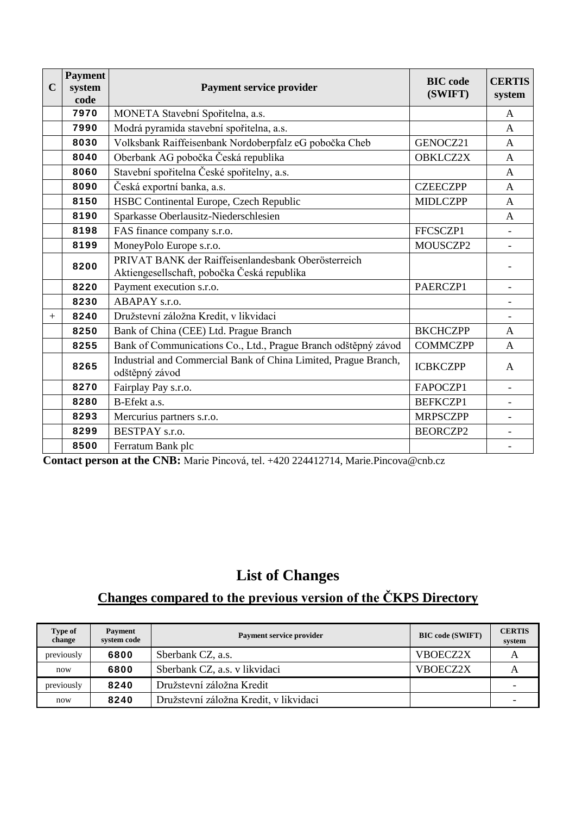| $\mathbf C$ | <b>Payment</b><br>system<br>code | <b>Payment service provider</b>                                                                    | <b>BIC</b> code<br>(SWIFT) | <b>CERTIS</b><br>system  |
|-------------|----------------------------------|----------------------------------------------------------------------------------------------------|----------------------------|--------------------------|
|             | 7970                             | MONETA Stavební Spořitelna, a.s.                                                                   |                            | A                        |
|             | 7990                             | Modrá pyramida stavební spořitelna, a.s.                                                           |                            | A                        |
|             | 8030                             | Volksbank Raiffeisenbank Nordoberpfalz eG pobočka Cheb                                             | GENOCZ21                   | $\mathbf{A}$             |
|             | 8040                             | Oberbank AG pobočka Česká republika                                                                | <b>OBKLCZ2X</b>            | A                        |
|             | 8060                             | Stavební spořitelna České spořitelny, a.s.                                                         |                            | A                        |
|             | 8090                             | Česká exportní banka, a.s.                                                                         | <b>CZEECZPP</b>            | A                        |
|             | 8150                             | HSBC Continental Europe, Czech Republic                                                            | <b>MIDLCZPP</b>            | A                        |
|             | 8190                             | Sparkasse Oberlausitz-Niederschlesien                                                              |                            | A                        |
|             | 8198                             | FAS finance company s.r.o.                                                                         | FFCSCZP1                   |                          |
|             | 8199                             | MoneyPolo Europe s.r.o.                                                                            | MOUSCZP2                   | $\overline{\phantom{a}}$ |
|             | 8200                             | PRIVAT BANK der Raiffeisenlandesbank Oberösterreich<br>Aktiengesellschaft, pobočka Česká republika |                            |                          |
|             | 8220                             | Payment execution s.r.o.                                                                           | PAERCZP1                   | $\overline{\phantom{0}}$ |
|             | 8230                             | ABAPAY s.r.o.                                                                                      |                            | $\overline{\phantom{a}}$ |
| $+$         | 8240                             | Družstevní záložna Kredit, v likvidaci                                                             |                            | $\overline{\phantom{0}}$ |
|             | 8250                             | Bank of China (CEE) Ltd. Prague Branch                                                             | <b>BKCHCZPP</b>            | A                        |
|             | 8255                             | Bank of Communications Co., Ltd., Prague Branch odštěpný závod                                     | <b>COMMCZPP</b>            | A                        |
|             | 8265                             | Industrial and Commercial Bank of China Limited, Prague Branch,<br>odštěpný závod                  | <b>ICBKCZPP</b>            | A                        |
|             | 8270                             | Fairplay Pay s.r.o.                                                                                | FAPOCZP1                   | $\overline{\phantom{0}}$ |
|             | 8280                             | B-Efekt a.s.                                                                                       | <b>BEFKCZP1</b>            |                          |
|             | 8293                             | Mercurius partners s.r.o.                                                                          | <b>MRPSCZPP</b>            |                          |
|             | 8299                             | BESTPAY s.r.o.                                                                                     | <b>BEORCZP2</b>            | $\overline{\phantom{a}}$ |
|             | 8500                             | Ferratum Bank plc                                                                                  |                            | $\overline{\phantom{a}}$ |

 **Contact person at the CNB:** Marie Pincová, tel. +420 224412714, Marie.Pincova@cnb.cz

### **List of Changes**

# **Changes compared to the previous version of the ČKPS Directory**

| Type of<br>change | <b>Payment</b><br>system code | <b>Payment service provider</b>        | <b>BIC</b> code (SWIFT) | <b>CERTIS</b><br>system |
|-------------------|-------------------------------|----------------------------------------|-------------------------|-------------------------|
| previously        | 6800                          | Sberbank CZ, a.s.                      | VBOECZ2X                |                         |
| now               | 6800                          | Sberbank CZ, a.s. v likvidaci          | VBOECZ2X                |                         |
| previously        | 8240                          | Družstevní záložna Kredit              |                         |                         |
| now               | 8240                          | Družstevní záložna Kredit, v likvidaci |                         |                         |